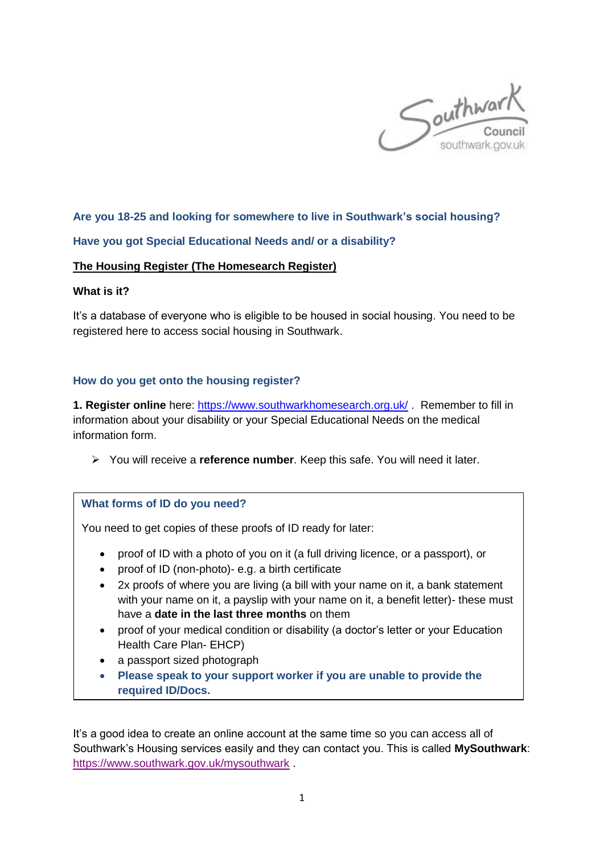

# **Are you 18-25 and looking for somewhere to live in Southwark's social housing?**

### **Have you got Special Educational Needs and/ or a disability?**

#### **The Housing Register (The Homesearch Register)**

#### **What is it?**

It's a database of everyone who is eligible to be housed in social housing. You need to be registered here to access social housing in Southwark.

#### **How do you get onto the housing register?**

**1. Register online** here:<https://www.southwarkhomesearch.org.uk/> . Remember to fill in information about your disability or your Special Educational Needs on the medical information form.

You will receive a **reference number**. Keep this safe. You will need it later.

# **What forms of ID do you need?**

You need to get copies of these proofs of ID ready for later:

- proof of ID with a photo of you on it (a full driving licence, or a passport), or
- proof of ID (non-photo)- e.g. a birth certificate
- 2x proofs of where you are living (a bill with your name on it, a bank statement with your name on it, a payslip with your name on it, a benefit letter)- these must have a **date in the last three months** on them
- proof of your medical condition or disability (a doctor's letter or your Education Health Care Plan- EHCP)
- a passport sized photograph
- **Please speak to your support worker if you are unable to provide the required ID/Docs.**

It's a good idea to create an online account at the same time so you can access all of Southwark's Housing services easily and they can contact you. This is called **MySouthwark**: <https://www.southwark.gov.uk/mysouthwark> .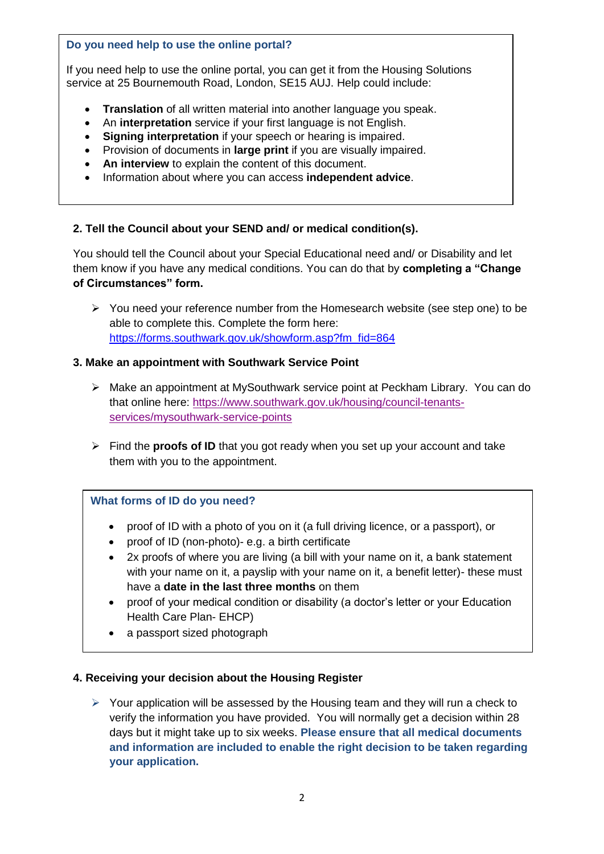### **Do you need help to use the online portal?**

If you need help to use the online portal, you can get it from the Housing Solutions service at 25 Bournemouth Road, London, SE15 AUJ. Help could include:

- **Translation** of all written material into another language you speak.
- An **interpretation** service if your first language is not English.
- **Signing interpretation** if your speech or hearing is impaired.
- Provision of documents in **large print** if you are visually impaired.
- **An interview** to explain the content of this document.
- Information about where you can access **independent advice**.

### **2. Tell the Council about your SEND and/ or medical condition(s).**

You should tell the Council about your Special Educational need and/ or Disability and let them know if you have any medical conditions. You can do that by **completing a "Change of Circumstances" form.**

 $\triangleright$  You need your reference number from the Homesearch website (see step one) to be able to complete this. Complete the form here: [https://forms.southwark.gov.uk/showform.asp?fm\\_fid=864](https://forms.southwark.gov.uk/showform.asp?fm_fid=864)

### **3. Make an appointment with Southwark Service Point**

- Make an appointment at MySouthwark service point at Peckham Library. You can do that online here: [https://www.southwark.gov.uk/housing/council-tenants](https://www.southwark.gov.uk/housing/council-tenants-services/mysouthwark-service-points)[services/mysouthwark-service-points](https://www.southwark.gov.uk/housing/council-tenants-services/mysouthwark-service-points)
- Find the **proofs of ID** that you got ready when you set up your account and take them with you to the appointment.

# **What forms of ID do you need?**

- proof of ID with a photo of you on it (a full driving licence, or a passport), or
- proof of ID (non-photo)- e.g. a birth certificate
- 2x proofs of where you are living (a bill with your name on it, a bank statement with your name on it, a payslip with your name on it, a benefit letter)- these must have a **date in the last three months** on them
- proof of your medical condition or disability (a doctor's letter or your Education Health Care Plan- EHCP)
- a passport sized photograph

### **4. Receiving your decision about the Housing Register**

 $\triangleright$  Your application will be assessed by the Housing team and they will run a check to verify the information you have provided. You will normally get a decision within 28 days but it might take up to six weeks. **Please ensure that all medical documents and information are included to enable the right decision to be taken regarding your application.**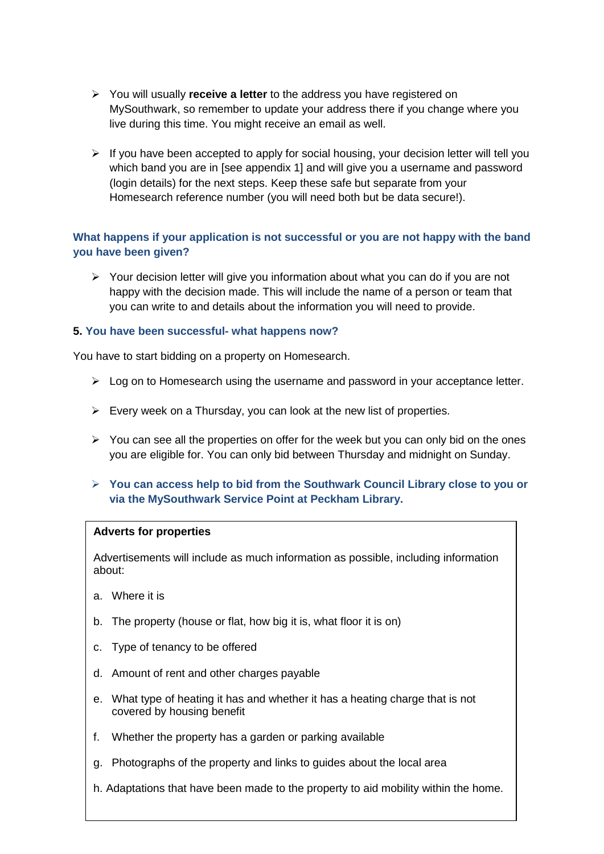- You will usually **receive a letter** to the address you have registered on MySouthwark, so remember to update your address there if you change where you live during this time. You might receive an email as well.
- $\triangleright$  If you have been accepted to apply for social housing, your decision letter will tell you which band you are in [see appendix 1] and will give you a username and password (login details) for the next steps. Keep these safe but separate from your Homesearch reference number (you will need both but be data secure!).

# **What happens if your application is not successful or you are not happy with the band you have been given?**

 $\triangleright$  Your decision letter will give you information about what you can do if you are not happy with the decision made. This will include the name of a person or team that you can write to and details about the information you will need to provide.

### **5. You have been successful- what happens now?**

You have to start bidding on a property on Homesearch.

- $\triangleright$  Log on to Homesearch using the username and password in your acceptance letter.
- $\triangleright$  Every week on a Thursday, you can look at the new list of properties.
- $\triangleright$  You can see all the properties on offer for the week but you can only bid on the ones you are eligible for. You can only bid between Thursday and midnight on Sunday.
- **You can access help to bid from the Southwark Council Library close to you or via the MySouthwark Service Point at Peckham Library.**

### **Adverts for properties**

Advertisements will include as much information as possible, including information about:

- a. Where it is
- b. The property (house or flat, how big it is, what floor it is on)
- c. Type of tenancy to be offered
- d. Amount of rent and other charges payable
- e. What type of heating it has and whether it has a heating charge that is not covered by housing benefit
- f. Whether the property has a garden or parking available
- g. Photographs of the property and links to guides about the local area
- h. Adaptations that have been made to the property to aid mobility within the home.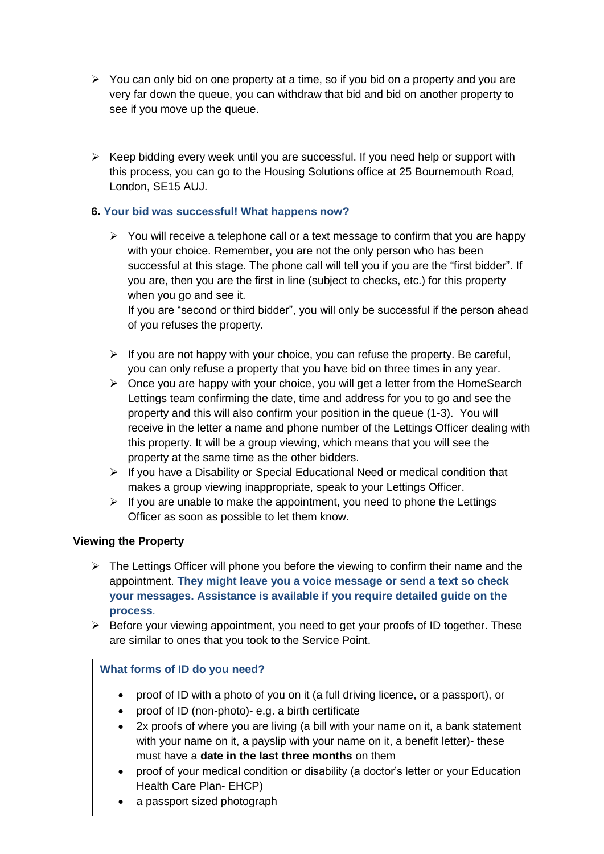- $\triangleright$  You can only bid on one property at a time, so if you bid on a property and you are very far down the queue, you can withdraw that bid and bid on another property to see if you move up the queue.
- $\triangleright$  Keep bidding every week until you are successful. If you need help or support with this process, you can go to the Housing Solutions office at 25 Bournemouth Road, London, SE15 AUJ.

# **6. Your bid was successful! What happens now?**

 $\triangleright$  You will receive a telephone call or a text message to confirm that you are happy with your choice. Remember, you are not the only person who has been successful at this stage. The phone call will tell you if you are the "first bidder". If you are, then you are the first in line (subject to checks, etc.) for this property when you go and see it.

If you are "second or third bidder", you will only be successful if the person ahead of you refuses the property.

- $\triangleright$  If you are not happy with your choice, you can refuse the property. Be careful, you can only refuse a property that you have bid on three times in any year.
- $\triangleright$  Once you are happy with your choice, you will get a letter from the HomeSearch Lettings team confirming the date, time and address for you to go and see the property and this will also confirm your position in the queue (1-3). You will receive in the letter a name and phone number of the Lettings Officer dealing with this property. It will be a group viewing, which means that you will see the property at the same time as the other bidders.
- $\triangleright$  If you have a Disability or Special Educational Need or medical condition that makes a group viewing inappropriate, speak to your Lettings Officer.
- $\triangleright$  If you are unable to make the appointment, you need to phone the Lettings Officer as soon as possible to let them know.

# **Viewing the Property**

- $\triangleright$  The Lettings Officer will phone you before the viewing to confirm their name and the appointment. **They might leave you a voice message or send a text so check your messages. Assistance is available if you require detailed guide on the process**.
- $\triangleright$  Before your viewing appointment, you need to get your proofs of ID together. These are similar to ones that you took to the Service Point.

# **What forms of ID do you need?**

- proof of ID with a photo of you on it (a full driving licence, or a passport), or
- proof of ID (non-photo)- e.g. a birth certificate
- 2x proofs of where you are living (a bill with your name on it, a bank statement with your name on it, a payslip with your name on it, a benefit letter)- these must have a **date in the last three months** on them
- proof of your medical condition or disability (a doctor's letter or your Education Health Care Plan- EHCP)
- a passport sized photograph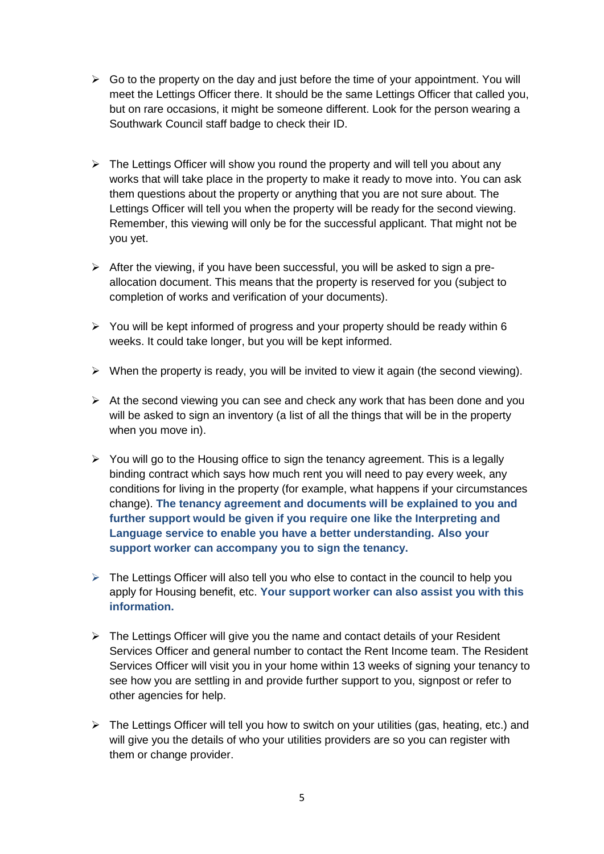- $\triangleright$  Go to the property on the day and just before the time of your appointment. You will meet the Lettings Officer there. It should be the same Lettings Officer that called you, but on rare occasions, it might be someone different. Look for the person wearing a Southwark Council staff badge to check their ID.
- $\triangleright$  The Lettings Officer will show you round the property and will tell you about any works that will take place in the property to make it ready to move into. You can ask them questions about the property or anything that you are not sure about. The Lettings Officer will tell you when the property will be ready for the second viewing. Remember, this viewing will only be for the successful applicant. That might not be you yet.
- $\triangleright$  After the viewing, if you have been successful, you will be asked to sign a preallocation document. This means that the property is reserved for you (subject to completion of works and verification of your documents).
- $\triangleright$  You will be kept informed of progress and your property should be ready within 6 weeks. It could take longer, but you will be kept informed.
- $\triangleright$  When the property is ready, you will be invited to view it again (the second viewing).
- $\triangleright$  At the second viewing you can see and check any work that has been done and you will be asked to sign an inventory (a list of all the things that will be in the property when you move in).
- $\triangleright$  You will go to the Housing office to sign the tenancy agreement. This is a legally binding contract which says how much rent you will need to pay every week, any conditions for living in the property (for example, what happens if your circumstances change). **The tenancy agreement and documents will be explained to you and further support would be given if you require one like the Interpreting and Language service to enable you have a better understanding. Also your support worker can accompany you to sign the tenancy.**
- $\triangleright$  The Lettings Officer will also tell you who else to contact in the council to help you apply for Housing benefit, etc. **Your support worker can also assist you with this information.**
- $\triangleright$  The Lettings Officer will give you the name and contact details of your Resident Services Officer and general number to contact the Rent Income team. The Resident Services Officer will visit you in your home within 13 weeks of signing your tenancy to see how you are settling in and provide further support to you, signpost or refer to other agencies for help.
- $\triangleright$  The Lettings Officer will tell you how to switch on your utilities (gas, heating, etc.) and will give you the details of who your utilities providers are so you can register with them or change provider.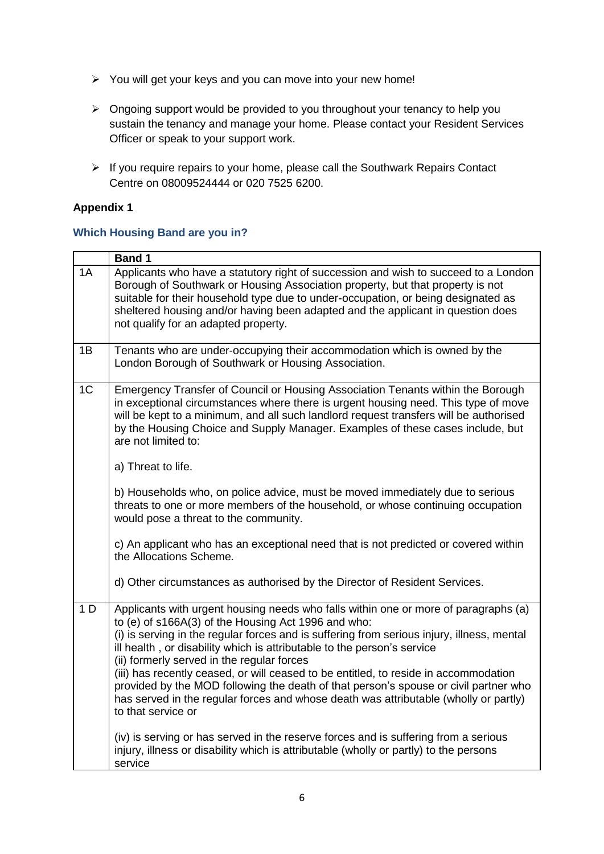- You will get your keys and you can move into your new home!
- $\triangleright$  Ongoing support would be provided to you throughout your tenancy to help you sustain the tenancy and manage your home. Please contact your Resident Services Officer or speak to your support work.
- $\triangleright$  If you require repairs to your home, please call the Southwark Repairs Contact Centre on 08009524444 or 020 7525 6200.

# **Appendix 1**

### **Which Housing Band are you in?**

|                | <b>Band 1</b>                                                                                                                                                                                                                                                                                                                                                                                                                                                                                                                                                                                                                                                   |
|----------------|-----------------------------------------------------------------------------------------------------------------------------------------------------------------------------------------------------------------------------------------------------------------------------------------------------------------------------------------------------------------------------------------------------------------------------------------------------------------------------------------------------------------------------------------------------------------------------------------------------------------------------------------------------------------|
| 1A             | Applicants who have a statutory right of succession and wish to succeed to a London<br>Borough of Southwark or Housing Association property, but that property is not<br>suitable for their household type due to under-occupation, or being designated as<br>sheltered housing and/or having been adapted and the applicant in question does<br>not qualify for an adapted property.                                                                                                                                                                                                                                                                           |
| 1B             | Tenants who are under-occupying their accommodation which is owned by the<br>London Borough of Southwark or Housing Association.                                                                                                                                                                                                                                                                                                                                                                                                                                                                                                                                |
| 1 <sub>C</sub> | Emergency Transfer of Council or Housing Association Tenants within the Borough<br>in exceptional circumstances where there is urgent housing need. This type of move<br>will be kept to a minimum, and all such landlord request transfers will be authorised<br>by the Housing Choice and Supply Manager. Examples of these cases include, but<br>are not limited to:<br>a) Threat to life.                                                                                                                                                                                                                                                                   |
|                | b) Households who, on police advice, must be moved immediately due to serious<br>threats to one or more members of the household, or whose continuing occupation<br>would pose a threat to the community.                                                                                                                                                                                                                                                                                                                                                                                                                                                       |
|                | c) An applicant who has an exceptional need that is not predicted or covered within<br>the Allocations Scheme.                                                                                                                                                                                                                                                                                                                                                                                                                                                                                                                                                  |
|                | d) Other circumstances as authorised by the Director of Resident Services.                                                                                                                                                                                                                                                                                                                                                                                                                                                                                                                                                                                      |
| 1 <sub>D</sub> | Applicants with urgent housing needs who falls within one or more of paragraphs (a)<br>to (e) of s166A(3) of the Housing Act 1996 and who:<br>(i) is serving in the regular forces and is suffering from serious injury, illness, mental<br>ill health, or disability which is attributable to the person's service<br>(ii) formerly served in the regular forces<br>(iii) has recently ceased, or will ceased to be entitled, to reside in accommodation<br>provided by the MOD following the death of that person's spouse or civil partner who<br>has served in the regular forces and whose death was attributable (wholly or partly)<br>to that service or |
|                | (iv) is serving or has served in the reserve forces and is suffering from a serious<br>injury, illness or disability which is attributable (wholly or partly) to the persons<br>service                                                                                                                                                                                                                                                                                                                                                                                                                                                                         |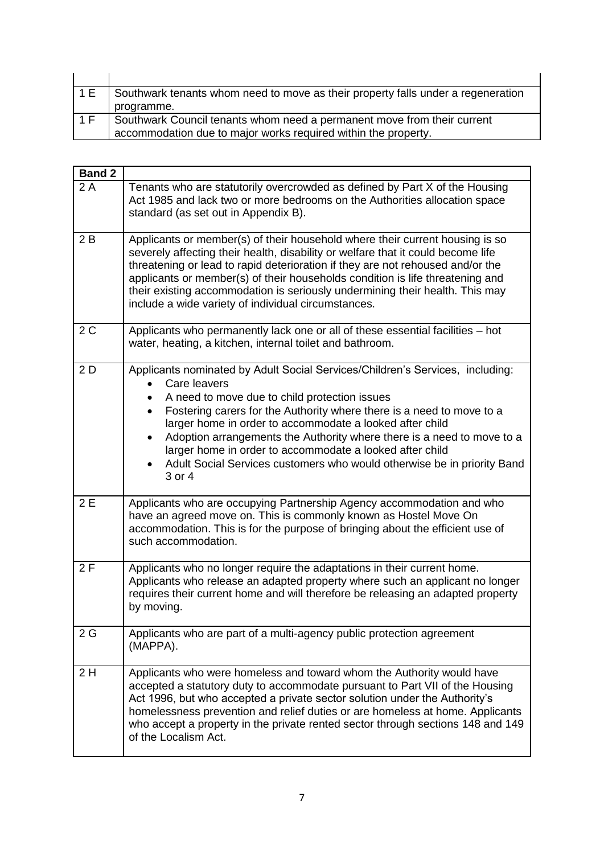| 1 F | Southwark tenants whom need to move as their property falls under a regeneration<br>programme.                                            |
|-----|-------------------------------------------------------------------------------------------------------------------------------------------|
| 1 F | Southwark Council tenants whom need a permanent move from their current<br>accommodation due to major works required within the property. |

| <b>Band 2</b> |                                                                                                                                                                                                                                                                                                                                                                                                                                                                                                                             |  |
|---------------|-----------------------------------------------------------------------------------------------------------------------------------------------------------------------------------------------------------------------------------------------------------------------------------------------------------------------------------------------------------------------------------------------------------------------------------------------------------------------------------------------------------------------------|--|
| 2A            | Tenants who are statutorily overcrowded as defined by Part X of the Housing<br>Act 1985 and lack two or more bedrooms on the Authorities allocation space<br>standard (as set out in Appendix B).                                                                                                                                                                                                                                                                                                                           |  |
| 2B            | Applicants or member(s) of their household where their current housing is so<br>severely affecting their health, disability or welfare that it could become life<br>threatening or lead to rapid deterioration if they are not rehoused and/or the<br>applicants or member(s) of their households condition is life threatening and<br>their existing accommodation is seriously undermining their health. This may<br>include a wide variety of individual circumstances.                                                  |  |
| 2C            | Applicants who permanently lack one or all of these essential facilities – hot<br>water, heating, a kitchen, internal toilet and bathroom.                                                                                                                                                                                                                                                                                                                                                                                  |  |
| 2D            | Applicants nominated by Adult Social Services/Children's Services, including:<br>Care leavers<br>A need to move due to child protection issues<br>Fostering carers for the Authority where there is a need to move to a<br>$\bullet$<br>larger home in order to accommodate a looked after child<br>Adoption arrangements the Authority where there is a need to move to a<br>larger home in order to accommodate a looked after child<br>Adult Social Services customers who would otherwise be in priority Band<br>3 or 4 |  |
| 2E            | Applicants who are occupying Partnership Agency accommodation and who<br>have an agreed move on. This is commonly known as Hostel Move On<br>accommodation. This is for the purpose of bringing about the efficient use of<br>such accommodation.                                                                                                                                                                                                                                                                           |  |
| 2F            | Applicants who no longer require the adaptations in their current home.<br>Applicants who release an adapted property where such an applicant no longer<br>requires their current home and will therefore be releasing an adapted property<br>by moving.                                                                                                                                                                                                                                                                    |  |
| 2G            | Applicants who are part of a multi-agency public protection agreement<br>(MAPPA).                                                                                                                                                                                                                                                                                                                                                                                                                                           |  |
| 2H            | Applicants who were homeless and toward whom the Authority would have<br>accepted a statutory duty to accommodate pursuant to Part VII of the Housing<br>Act 1996, but who accepted a private sector solution under the Authority's<br>homelessness prevention and relief duties or are homeless at home. Applicants<br>who accept a property in the private rented sector through sections 148 and 149<br>of the Localism Act.                                                                                             |  |